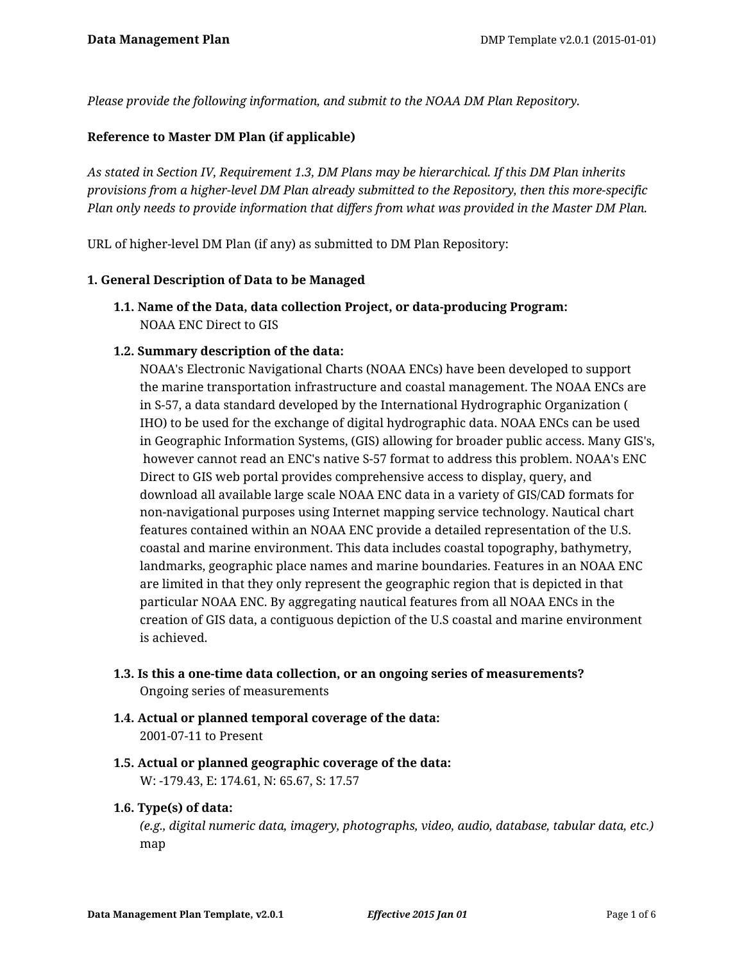*Please provide the following information, and submit to the NOAA DM Plan Repository.*

# **Reference to Master DM Plan (if applicable)**

*As stated in Section IV, Requirement 1.3, DM Plans may be hierarchical. If this DM Plan inherits provisions from a higher-level DM Plan already submitted to the Repository, then this more-specific Plan only needs to provide information that differs from what was provided in the Master DM Plan.*

URL of higher-level DM Plan (if any) as submitted to DM Plan Repository:

#### **1. General Description of Data to be Managed**

**1.1. Name of the Data, data collection Project, or data-producing Program:** NOAA ENC Direct to GIS

## **1.2. Summary description of the data:**

NOAA's Electronic Navigational Charts (NOAA ENCs) have been developed to support the marine transportation infrastructure and coastal management. The NOAA ENCs are in S-57, a data standard developed by the International Hydrographic Organization ( IHO) to be used for the exchange of digital hydrographic data. NOAA ENCs can be used in Geographic Information Systems, (GIS) allowing for broader public access. Many GIS's, however cannot read an ENC's native S-57 format to address this problem. NOAA's ENC Direct to GIS web portal provides comprehensive access to display, query, and download all available large scale NOAA ENC data in a variety of GIS/CAD formats for non-navigational purposes using Internet mapping service technology. Nautical chart features contained within an NOAA ENC provide a detailed representation of the U.S. coastal and marine environment. This data includes coastal topography, bathymetry, landmarks, geographic place names and marine boundaries. Features in an NOAA ENC are limited in that they only represent the geographic region that is depicted in that particular NOAA ENC. By aggregating nautical features from all NOAA ENCs in the creation of GIS data, a contiguous depiction of the U.S coastal and marine environment is achieved.

- **1.3. Is this a one-time data collection, or an ongoing series of measurements?** Ongoing series of measurements
- **1.4. Actual or planned temporal coverage of the data:** 2001-07-11 to Present
- **1.5. Actual or planned geographic coverage of the data:** W: -179.43, E: 174.61, N: 65.67, S: 17.57

# **1.6. Type(s) of data:**

*(e.g., digital numeric data, imagery, photographs, video, audio, database, tabular data, etc.)* map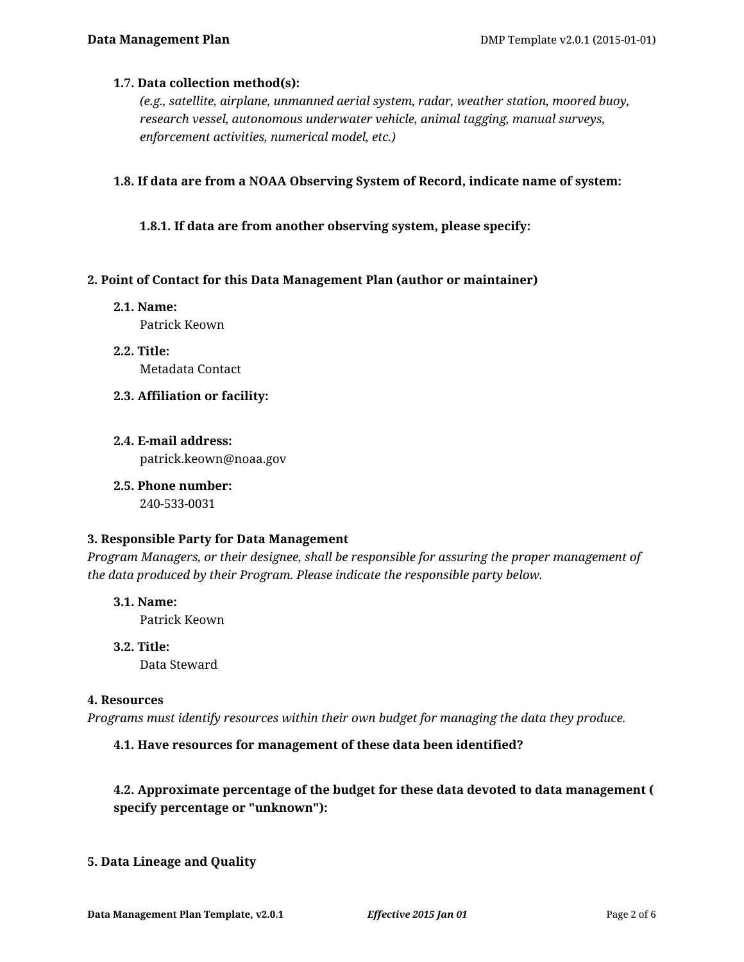## **1.7. Data collection method(s):**

*(e.g., satellite, airplane, unmanned aerial system, radar, weather station, moored buoy, research vessel, autonomous underwater vehicle, animal tagging, manual surveys, enforcement activities, numerical model, etc.)*

**1.8. If data are from a NOAA Observing System of Record, indicate name of system:**

**1.8.1. If data are from another observing system, please specify:**

## **2. Point of Contact for this Data Management Plan (author or maintainer)**

- **2.1. Name:** Patrick Keown
- **2.2. Title:** Metadata Contact
- **2.3. Affiliation or facility:**
- **2.4. E-mail address:** patrick.keown@noaa.gov
- **2.5. Phone number:** 240-533-0031

#### **3. Responsible Party for Data Management**

*Program Managers, or their designee, shall be responsible for assuring the proper management of the data produced by their Program. Please indicate the responsible party below.*

- **3.1. Name:** Patrick Keown
- **3.2. Title:** Data Steward

#### **4. Resources**

*Programs must identify resources within their own budget for managing the data they produce.*

# **4.1. Have resources for management of these data been identified?**

# **4.2. Approximate percentage of the budget for these data devoted to data management ( specify percentage or "unknown"):**

# **5. Data Lineage and Quality**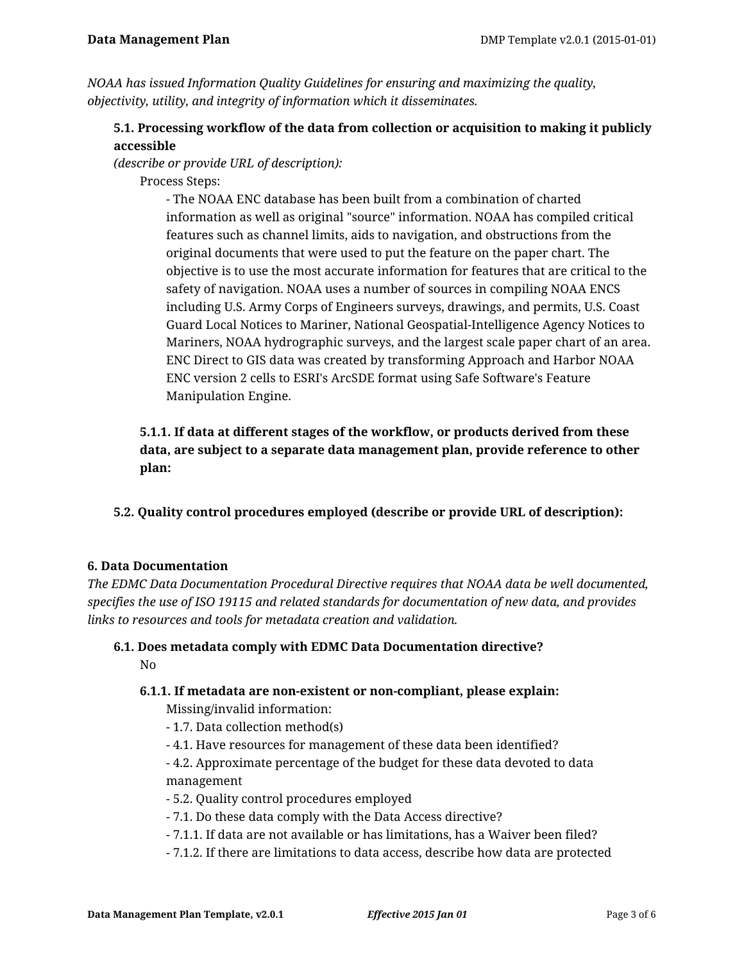*NOAA has issued Information Quality Guidelines for ensuring and maximizing the quality, objectivity, utility, and integrity of information which it disseminates.*

# **5.1. Processing workflow of the data from collection or acquisition to making it publicly accessible**

*(describe or provide URL of description):*

Process Steps:

- The NOAA ENC database has been built from a combination of charted information as well as original "source" information. NOAA has compiled critical features such as channel limits, aids to navigation, and obstructions from the original documents that were used to put the feature on the paper chart. The objective is to use the most accurate information for features that are critical to the safety of navigation. NOAA uses a number of sources in compiling NOAA ENCS including U.S. Army Corps of Engineers surveys, drawings, and permits, U.S. Coast Guard Local Notices to Mariner, National Geospatial-Intelligence Agency Notices to Mariners, NOAA hydrographic surveys, and the largest scale paper chart of an area. ENC Direct to GIS data was created by transforming Approach and Harbor NOAA ENC version 2 cells to ESRI's ArcSDE format using Safe Software's Feature Manipulation Engine.

**5.1.1. If data at different stages of the workflow, or products derived from these data, are subject to a separate data management plan, provide reference to other plan:**

**5.2. Quality control procedures employed (describe or provide URL of description):**

# **6. Data Documentation**

*The EDMC Data Documentation Procedural Directive requires that NOAA data be well documented, specifies the use of ISO 19115 and related standards for documentation of new data, and provides links to resources and tools for metadata creation and validation.*

## **6.1. Does metadata comply with EDMC Data Documentation directive?** No

# **6.1.1. If metadata are non-existent or non-compliant, please explain:**

Missing/invalid information:

- 1.7. Data collection method(s)
- 4.1. Have resources for management of these data been identified?
- 4.2. Approximate percentage of the budget for these data devoted to data management
- 5.2. Quality control procedures employed
- 7.1. Do these data comply with the Data Access directive?
- 7.1.1. If data are not available or has limitations, has a Waiver been filed?
- 7.1.2. If there are limitations to data access, describe how data are protected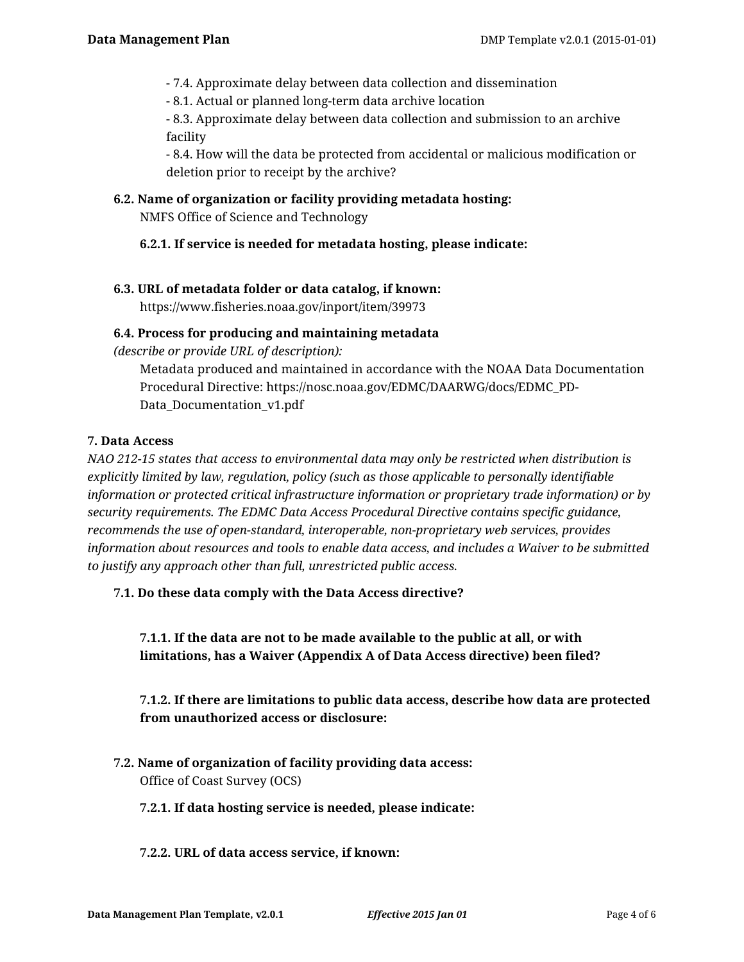- 7.4. Approximate delay between data collection and dissemination
- 8.1. Actual or planned long-term data archive location

- 8.3. Approximate delay between data collection and submission to an archive facility

- 8.4. How will the data be protected from accidental or malicious modification or deletion prior to receipt by the archive?

#### **6.2. Name of organization or facility providing metadata hosting:**

NMFS Office of Science and Technology

# **6.2.1. If service is needed for metadata hosting, please indicate:**

## **6.3. URL of metadata folder or data catalog, if known:**

https://www.fisheries.noaa.gov/inport/item/39973

## **6.4. Process for producing and maintaining metadata**

*(describe or provide URL of description):*

Metadata produced and maintained in accordance with the NOAA Data Documentation Procedural Directive: https://nosc.noaa.gov/EDMC/DAARWG/docs/EDMC\_PD-Data\_Documentation\_v1.pdf

## **7. Data Access**

*NAO 212-15 states that access to environmental data may only be restricted when distribution is explicitly limited by law, regulation, policy (such as those applicable to personally identifiable information or protected critical infrastructure information or proprietary trade information) or by security requirements. The EDMC Data Access Procedural Directive contains specific guidance, recommends the use of open-standard, interoperable, non-proprietary web services, provides information about resources and tools to enable data access, and includes a Waiver to be submitted to justify any approach other than full, unrestricted public access.*

# **7.1. Do these data comply with the Data Access directive?**

**7.1.1. If the data are not to be made available to the public at all, or with limitations, has a Waiver (Appendix A of Data Access directive) been filed?**

**7.1.2. If there are limitations to public data access, describe how data are protected from unauthorized access or disclosure:**

**7.2. Name of organization of facility providing data access:** Office of Coast Survey (OCS)

#### **7.2.1. If data hosting service is needed, please indicate:**

#### **7.2.2. URL of data access service, if known:**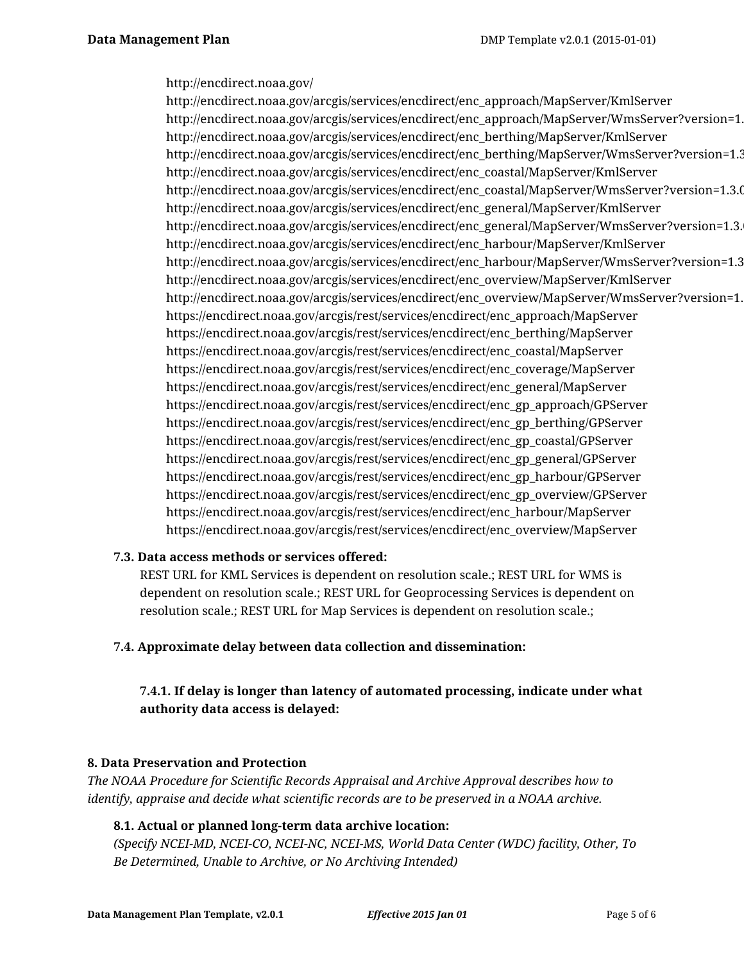#### http://encdirect.noaa.gov/

http://encdirect.noaa.gov/arcgis/services/encdirect/enc\_approach/MapServer/KmlServer http://encdirect.noaa.gov/arcgis/services/encdirect/enc\_approach/MapServer/WmsServer?version=1.3.0 http://encdirect.noaa.gov/arcgis/services/encdirect/enc\_berthing/MapServer/KmlServer http://encdirect.noaa.gov/arcgis/services/encdirect/enc\_berthing/MapServer/WmsServer?version=1.3.0 http://encdirect.noaa.gov/arcgis/services/encdirect/enc\_coastal/MapServer/KmlServer http://encdirect.noaa.gov/arcgis/services/encdirect/enc\_coastal/MapServer/WmsServer?version=1.3.0 http://encdirect.noaa.gov/arcgis/services/encdirect/enc\_general/MapServer/KmlServer http://encdirect.noaa.gov/arcgis/services/encdirect/enc\_general/MapServer/WmsServer?version=1.3. http://encdirect.noaa.gov/arcgis/services/encdirect/enc\_harbour/MapServer/KmlServer http://encdirect.noaa.gov/arcgis/services/encdirect/enc\_harbour/MapServer/WmsServer?version=1.3.0 http://encdirect.noaa.gov/arcgis/services/encdirect/enc\_overview/MapServer/KmlServer http://encdirect.noaa.gov/arcgis/services/encdirect/enc\_overview/MapServer/WmsServer?version=1.3.0 https://encdirect.noaa.gov/arcgis/rest/services/encdirect/enc\_approach/MapServer https://encdirect.noaa.gov/arcgis/rest/services/encdirect/enc\_berthing/MapServer https://encdirect.noaa.gov/arcgis/rest/services/encdirect/enc\_coastal/MapServer https://encdirect.noaa.gov/arcgis/rest/services/encdirect/enc\_coverage/MapServer https://encdirect.noaa.gov/arcgis/rest/services/encdirect/enc\_general/MapServer https://encdirect.noaa.gov/arcgis/rest/services/encdirect/enc\_gp\_approach/GPServer https://encdirect.noaa.gov/arcgis/rest/services/encdirect/enc\_gp\_berthing/GPServer https://encdirect.noaa.gov/arcgis/rest/services/encdirect/enc\_gp\_coastal/GPServer https://encdirect.noaa.gov/arcgis/rest/services/encdirect/enc\_gp\_general/GPServer https://encdirect.noaa.gov/arcgis/rest/services/encdirect/enc\_gp\_harbour/GPServer https://encdirect.noaa.gov/arcgis/rest/services/encdirect/enc\_gp\_overview/GPServer https://encdirect.noaa.gov/arcgis/rest/services/encdirect/enc\_harbour/MapServer https://encdirect.noaa.gov/arcgis/rest/services/encdirect/enc\_overview/MapServer

#### **7.3. Data access methods or services offered:**

REST URL for KML Services is dependent on resolution scale.; REST URL for WMS is dependent on resolution scale.; REST URL for Geoprocessing Services is dependent on resolution scale.; REST URL for Map Services is dependent on resolution scale.;

#### **7.4. Approximate delay between data collection and dissemination:**

**7.4.1. If delay is longer than latency of automated processing, indicate under what authority data access is delayed:**

#### **8. Data Preservation and Protection**

*The NOAA Procedure for Scientific Records Appraisal and Archive Approval describes how to identify, appraise and decide what scientific records are to be preserved in a NOAA archive.*

#### **8.1. Actual or planned long-term data archive location:**

*(Specify NCEI-MD, NCEI-CO, NCEI-NC, NCEI-MS, World Data Center (WDC) facility, Other, To Be Determined, Unable to Archive, or No Archiving Intended)*